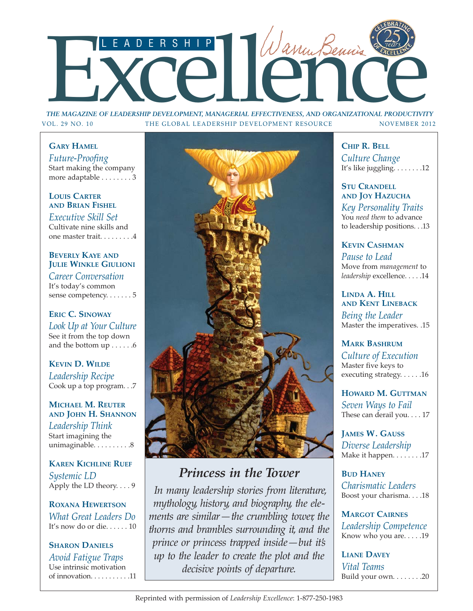

*THE MAGAZINE OF LEADERSHIP DEVELOPMENT, MANAGERIAL EFFECTIVENESS, AND ORGANIZATIONAL PRODUCTIVITY* VOL. 29 NO. 10 THE GLOBAL LEADERSHIP DEVELOPMENT RESOURCE NOVEMBER 2012

## **GARY HAMEL**

*Future-Proofing* Start making the company more adaptable . . . . . . . . 3

## **LOUIS CARTER AND BRIAN FISHEL**

*Executive Skill Set* Cultivate nine skills and one master trait. . . . . . . . .4

## **BEVERLY KAYE AND JULIE WINKLE GIULIONI**

*Career Conversation* It's today's common sense competency. . . . . . . 5

**ERIC C. SINOWAY** *Look Up at Your Culture* See it from the top down and the bottom up . . . . . .6

**KEVIN D. WILDE** *Leadership Recipe* Cook up a top program. . .7

## **MICHAEL M. REUTER AND JOHN H. SHANNON**

*Leadership Think* Start imagining the unimaginable. . . . . . . . . . 8

**KAREN KICHLINE RUEF** *Systemic LD* Apply the LD theory. . . . 9

**ROXANA HEWERTSON** *What Great Leaders Do* It's now do or die. . . . . . 10

## **SHARON DANIELS** *Avoid Fatigue Traps* Use intrinsic motivation of innovation. . . . . . . . . . .11



# *Princess in the Tower*

*In many leadership stories from literature, mythology, history, and biography, the elements are similar—the crumbling tower, the thorns and brambles surrounding it, and the prince or princess trapped inside—but it's up to the leader to create the plot and the decisive points of departure.*

**CHIP R. BELL** *Culture Change* It's like juggling. . . . . . . .12

#### **STU CRANDELL AND JOY HAZUCHA**

*Key Personality Traits* You *need them* to advance to leadership positions. . .13

## **KEVIN CASHMAN**

*Pause to Lead* Move from *management* to *leadership* excellence. . . . .14

#### **LINDA A. HILL AND KENT LINEBACK**

*Being the Leader* Master the imperatives. .15

## **MARK BASHRUM**

*Culture of Execution* Master five keys to executing strategy. . . . . .16

**HOWARD M. GUTTMAN** *Seven Ways to Fail* These can derail you. . . . 17

**JAMES W. GAUSS** *Diverse Leadership* Make it happen. . . . . . . . . 17

**BUD HANEY** *Charismatic Leaders* Boost your charisma. . . .18

**MARGOT CAIRNES** *Leadership Competence* Know who you are. . . . .19

**LIANE DAVEY** *Vital Teams* Build your own. . . . . . . .20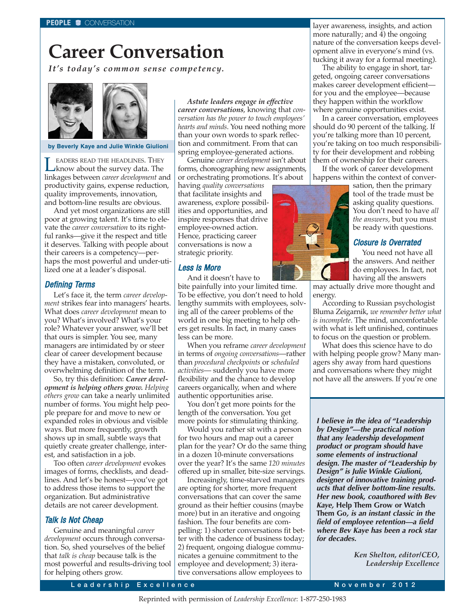# **Career Conversation**

*It's today's common sense competency.*



#### **by Beverly Kaye and Julie Winkle Giulioni**

**LEADERS READ THE HEADLINES. THEY**<br>know about the survey data. The<br>linkages between *career development* and linkages between *career development* and productivity gains, expense reduction, quality improvements, innovation, and bottom-line results are obvious.

And yet most organizations are still poor at growing talent. It's time to elevate the *career conversation* to its rightful ranks—give it the respect and title it deserves. Talking with people about their careers is a competency—perhaps the most powerful and under-utilized one at a leader's disposal.

#### Defining Terms

Let's face it, the term *career development* strikes fear into managers' hearts. What does *career development* mean to you? What's involved? What's your role? Whatever your answer, we'll bet that ours is simpler. You see, many managers are intimidated by or steer clear of career development because they have a mistaken, convoluted, or overwhelming definition of the term.

So, try this definition: *Career development is helping others grow. Helping others grow* can take a nearly unlimited number of forms. You might help people prepare for and move to new or expanded roles in obvious and visible ways. But more frequently, growth shows up in small, subtle ways that quietly create greater challenge, interest, and satisfaction in a job.

Too often *career development* evokes images of forms, checklists, and deadlines. And let's be honest—you've got to address those items to support the organization. But administrative details are not career development.

#### Talk Is Not Cheap

Genuine and meaningful *career development* occurs through conversation. So, shed yourselves of the belief that *talk is cheap* because talk is the most powerful and results-driving tool for helping others grow.

*Astute leaders engage in effective career conversations*, knowing that *conversation has the power to touch employees' hearts and minds*. You need nothing more than your own words to spark reflection and commitment. From that can spring employee-generated actions.

Genuine *career development* isn't about forms, choreographing new assignments, or orchestrating promotions. It's about

having *quality conversations* that facilitate insights and awareness, explore possibilities and opportunities, and inspire responses that drive employee-owned action. Hence, practicing career conversations is now a strategic priority.

#### Less Is More

And it doesn't have to bite painfully into your limited time. To be effective, you don't need to hold lengthy summits with employees, solving all of the career problems of the world in one big meeting to help others get results. In fact, in many cases less can be more.

When you reframe *career development* in terms of *ongoing conversations*—rather than *procedural checkpoints* or *scheduled activities*— suddenly you have more flexibility and the chance to develop careers organically, when and where authentic opportunities arise.

You don't get more points for the length of the conversation. You get more points for stimulating thinking.

Would you rather sit with a person for two hours and map out a career plan for the year? Or do the same thing in a dozen 10-minute conversations over the year? It's the same *120 minutes* offered up in smaller, bite-size servings.

Increasingly, time-starved managers are opting for shorter, more frequent conversations that can cover the same ground as their heftier cousins (maybe more) but in an iterative and ongoing fashion. The four benefits are compelling: 1) shorter conversations fit better with the cadence of business today; 2) frequent, ongoing dialogue communicates a genuine commitment to the employee and development; 3) iterative conversations allow employees to

layer awareness, insights, and action more naturally; and 4) the ongoing nature of the conversation keeps development alive in everyone's mind (vs. tucking it away for a formal meeting).

The ability to engage in short, targeted, ongoing career conversations makes career development efficient for you and the employee—because they happen within the workflow where genuine opportunities exist.

In a career conversation, employees should do 90 percent of the talking. If you're talking more than 10 percent, you're taking on too much responsibility for their development and robbing them of ownership for their careers.

If the work of career development happens within the context of conver-

> sation, then the primary tool of the trade must be asking quality questions. You don't need to have *all the answers,* but you must be ready with questions.

### Closure Is Overrated

You need not have all the answers. And neither do employees. In fact, not having all the answers

may actually drive more thought and energy.

According to Russian psychologist Bluma Zeigarnik, *we remember better what is incomplete*. The mind, uncomfortable with what is left unfinished, continues to focus on the question or problem.

What does this science have to do with helping people grow? Many managers shy away from hard questions and conversations where they might not have all the answers. If you're one

**I believe in the idea of "Leadership by Design"—the practical notion that any leadership development product or program should have some elements of instructional design. The master of "Leadership by Design" is Julie Winkle Giulioni, designer of innovative training products that deliver bottom-line results. Her new book, coauthored with Bev Kaye, Help Them Grow or Watch Them Go, is an instant classic in the field of employee retention—a field where Bev Kaye has been a rock star for decades.**

> *Ken Shelton, editor/CEO, Leadership Excellence*